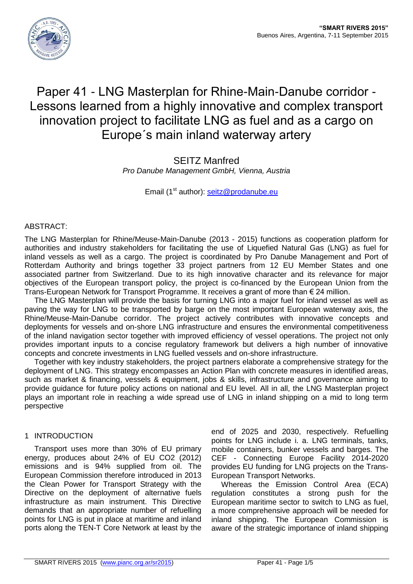

# Paper 41 - LNG Masterplan for Rhine-Main-Danube corridor - Lessons learned from a highly innovative and complex transport innovation project to facilitate LNG as fuel and as a cargo on Europe´s main inland waterway artery

SEITZ Manfred *Pro Danube Management GmbH, Vienna, Austria*

Email (1<sup>st</sup> author): [seitz@prodanube.eu](mailto:seitz@prodanube.eu)

# ABSTRACT:

The LNG Masterplan for Rhine/Meuse-Main-Danube (2013 - 2015) functions as cooperation platform for authorities and industry stakeholders for facilitating the use of Liquefied Natural Gas (LNG) as fuel for inland vessels as well as a cargo. The project is coordinated by Pro Danube Management and Port of Rotterdam Authority and brings together 33 project partners from 12 EU Member States and one associated partner from Switzerland. Due to its high innovative character and its relevance for major objectives of the European transport policy, the project is co-financed by the European Union from the Trans-European Network for Transport Programme. It receives a grant of more than € 24 million.

The LNG Masterplan will provide the basis for turning LNG into a major fuel for inland vessel as well as paving the way for LNG to be transported by barge on the most important European waterway axis, the Rhine/Meuse-Main-Danube corridor. The project actively contributes with innovative concepts and deployments for vessels and on-shore LNG infrastructure and ensures the environmental competitiveness of the inland navigation sector together with improved efficiency of vessel operations. The project not only provides important inputs to a concise regulatory framework but delivers a high number of innovative concepts and concrete investments in LNG fuelled vessels and on-shore infrastructure.

Together with key industry stakeholders, the project partners elaborate a comprehensive strategy for the deployment of LNG. This strategy encompasses an Action Plan with concrete measures in identified areas, such as market & financing, vessels & equipment, jobs & skills, infrastructure and governance aiming to provide guidance for future policy actions on national and EU level. All in all, the LNG Masterplan project plays an important role in reaching a wide spread use of LNG in inland shipping on a mid to long term perspective

# 1 INTRODUCTION

Transport uses more than 30% of EU primary energy, produces about 24% of EU CO2 (2012) emissions and is 94% supplied from oil. The European Commission therefore introduced in 2013 the Clean Power for Transport Strategy with the Directive on the deployment of alternative fuels infrastructure as main instrument. This Directive demands that an appropriate number of refuelling points for LNG is put in place at maritime and inland ports along the TEN-T Core Network at least by the

end of 2025 and 2030, respectively. Refuelling points for LNG include i. a. LNG terminals, tanks, mobile containers, bunker vessels and barges. The CEF - Connecting Europe Facility 2014-2020 provides EU funding for LNG projects on the Trans-European Transport Networks.

Whereas the Emission Control Area (ECA) regulation constitutes a strong push for the European maritime sector to switch to LNG as fuel, a more comprehensive approach will be needed for inland shipping. The European Commission is aware of the strategic importance of inland shipping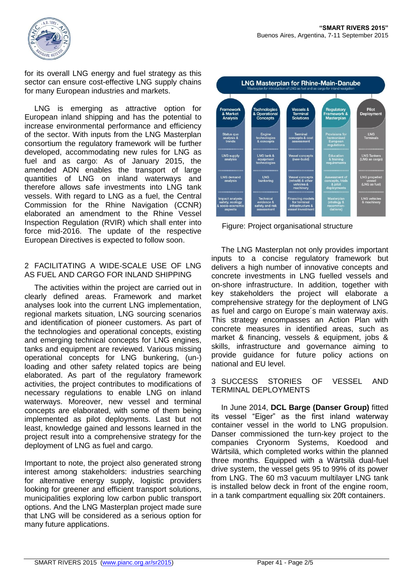

for its overall LNG energy and fuel strategy as this sector can ensure cost-effective LNG supply chains for many European industries and markets.

LNG is emerging as attractive option for European inland shipping and has the potential to increase environmental performance and efficiency of the sector. With inputs from the LNG Masterplan consortium the regulatory framework will be further developed, accommodating new rules for LNG as fuel and as cargo: As of January 2015, the amended ADN enables the transport of large quantities of LNG on inland waterways and therefore allows safe investments into LNG tank vessels. With regard to LNG as a fuel, the Central Commission for the Rhine Navigation (CCNR) elaborated an amendment to the Rhine Vessel Inspection Regulation (RVIR) which shall enter into force mid-2016. The update of the respective European Directives is expected to follow soon.

#### 2 FACILITATING A WIDE-SCALE USE OF LNG AS FUEL AND CARGO FOR INLAND SHIPPING

The activities within the project are carried out in clearly defined areas. Framework and market analyses look into the current LNG implementation, regional markets situation, LNG sourcing scenarios and identification of pioneer customers. As part of the technologies and operational concepts, existing and emerging technical concepts for LNG engines, tanks and equipment are reviewed. Various missing operational concepts for LNG bunkering, (un-) loading and other safety related topics are being elaborated. As part of the regulatory framework activities, the project contributes to modifications of necessary regulations to enable LNG on inland waterways. Moreover, new vessel and terminal concepts are elaborated, with some of them being implemented as pilot deployments. Last but not least, knowledge gained and lessons learned in the project result into a comprehensive strategy for the deployment of LNG as fuel and cargo.

Important to note, the project also generated strong interest among stakeholders: industries searching for alternative energy supply, logistic providers looking for greener and efficient transport solutions, municipalities exploring low carbon public transport options. And the LNG Masterplan project made sure that LNG will be considered as a serious option for many future applications.



Figure: Project organisational structure

The LNG Masterplan not only provides important inputs to a concise regulatory framework but delivers a high number of innovative concepts and concrete investments in LNG fuelled vessels and on-shore infrastructure. In addition, together with key stakeholders the project will elaborate a comprehensive strategy for the deployment of LNG as fuel and cargo on Europe´s main waterway axis. This strategy encompasses an Action Plan with concrete measures in identified areas, such as market & financing, vessels & equipment, jobs & skills, infrastructure and governance aiming to provide guidance for future policy actions on national and EU level.

3 SUCCESS STORIES OF VESSEL AND TERMINAL DEPLOYMENTS

In June 2014, **DCL Barge (Danser Group)** fitted its vessel "Eiger" as the first inland waterway container vessel in the world to LNG propulsion. Danser commissioned the turn-key project to the companies Cryonorm Systems, Koedood and Wärtsilä, which completed works within the planned three months. Equipped with a Wärtsilä dual-fuel drive system, the vessel gets 95 to 99% of its power from LNG. The 60 m3 vacuum multilayer LNG tank is installed below deck in front of the engine room, in a tank compartment equalling six 20ft containers.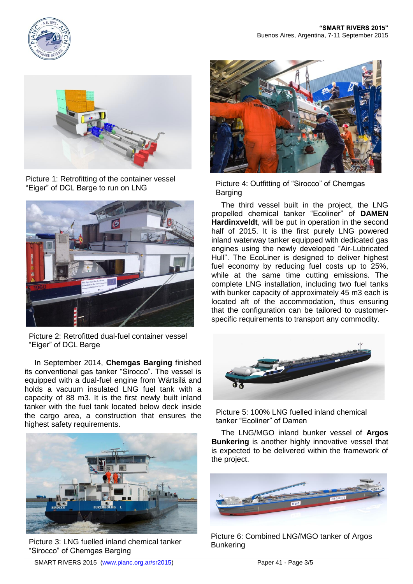



Picture 1: Retrofitting of the container vessel "Eiger" of DCL Barge to run on LNG



Picture 2: Retrofitted dual-fuel container vessel "Eiger" of DCL Barge

In September 2014, **Chemgas Barging** finished its conventional gas tanker "Sirocco". The vessel is equipped with a dual-fuel engine from Wärtsilä and holds a vacuum insulated LNG fuel tank with a capacity of 88 m3. It is the first newly built inland tanker with the fuel tank located below deck inside the cargo area, a construction that ensures the highest safety requirements.



Picture 3: LNG fuelled inland chemical tanker<br>Bunkering "Sirocco" of Chemgas Barging



Picture 4: Outfitting of "Sirocco" of Chemgas Barging

The third vessel built in the project, the LNG propelled chemical tanker "Ecoliner" of **DAMEN Hardinxveldt**, will be put in operation in the second half of 2015. It is the first purely LNG powered inland waterway tanker equipped with dedicated gas engines using the newly developed "Air-Lubricated Hull". The EcoLiner is designed to deliver highest fuel economy by reducing fuel costs up to 25%, while at the same time cutting emissions. The complete LNG installation, including two fuel tanks with bunker capacity of approximately 45 m3 each is located aft of the accommodation, thus ensuring that the configuration can be tailored to customerspecific requirements to transport any commodity.



Picture 5: 100% LNG fuelled inland chemical tanker "Ecoliner" of Damen

The LNG/MGO inland bunker vessel of **Argos Bunkering** is another highly innovative vessel that is expected to be delivered within the framework of the project.



Picture 6: Combined LNG/MGO tanker of Argos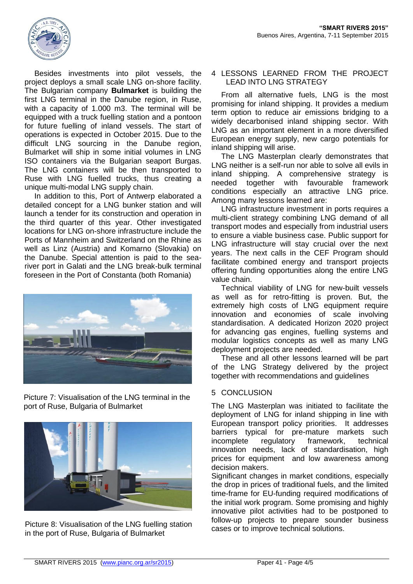

Besides investments into pilot vessels, the project deploys a small scale LNG on-shore facility. The Bulgarian company **Bulmarket** is building the first LNG terminal in the Danube region, in Ruse, with a capacity of 1.000 m3. The terminal will be equipped with a truck fuelling station and a pontoon for future fuelling of inland vessels. The start of operations is expected in October 2015. Due to the difficult LNG sourcing in the Danube region, Bulmarket will ship in some initial volumes in LNG ISO containers via the Bulgarian seaport Burgas. The LNG containers will be then transported to Ruse with LNG fuelled trucks, thus creating a unique multi-modal LNG supply chain.

In addition to this, Port of Antwerp elaborated a detailed concept for a LNG bunker station and will launch a tender for its construction and operation in the third quarter of this year. Other investigated locations for LNG on-shore infrastructure include the Ports of Mannheim and Switzerland on the Rhine as well as Linz (Austria) and Komarno (Slovakia) on the Danube. Special attention is paid to the seariver port in Galati and the LNG break-bulk terminal foreseen in the Port of Constanta (both Romania)



Picture 7: Visualisation of the LNG terminal in the port of Ruse, Bulgaria of Bulmarket



Picture 8: Visualisation of the LNG fuelling station in the port of Ruse, Bulgaria of Bulmarket

#### 4 LESSONS LEARNED FROM THE PROJECT LEAD INTO LNG STRATEGY

From all alternative fuels, LNG is the most promising for inland shipping. It provides a medium term option to reduce air emissions bridging to a widely decarbonised inland shipping sector. With LNG as an important element in a more diversified European energy supply, new cargo potentials for inland shipping will arise.

The LNG Masterplan clearly demonstrates that LNG neither is a self-run nor able to solve all evils in inland shipping. A comprehensive strategy is needed together with favourable framework conditions especially an attractive LNG price. Among many lessons learned are:

LNG infrastructure investment in ports requires a multi-client strategy combining LNG demand of all transport modes and especially from industrial users to ensure a viable business case. Public support for LNG infrastructure will stay crucial over the next years. The next calls in the CEF Program should facilitate combined energy and transport projects offering funding opportunities along the entire LNG value chain.

Technical viability of LNG for new-built vessels as well as for retro-fitting is proven. But, the extremely high costs of LNG equipment require innovation and economies of scale involving standardisation. A dedicated Horizon 2020 project for advancing gas engines, fuelling systems and modular logistics concepts as well as many LNG deployment projects are needed.

These and all other lessons learned will be part of the LNG Strategy delivered by the project together with recommendations and guidelines

# 5 CONCLUSION

The LNG Masterplan was initiated to facilitate the deployment of LNG for inland shipping in line with European transport policy priorities. It addresses barriers typical for pre-mature markets such incomplete regulatory framework, technical innovation needs, lack of standardisation, high prices for equipment and low awareness among decision makers.

Significant changes in market conditions, especially the drop in prices of traditional fuels, and the limited time-frame for EU-funding required modifications of the initial work program. Some promising and highly innovative pilot activities had to be postponed to follow-up projects to prepare sounder business cases or to improve technical solutions.